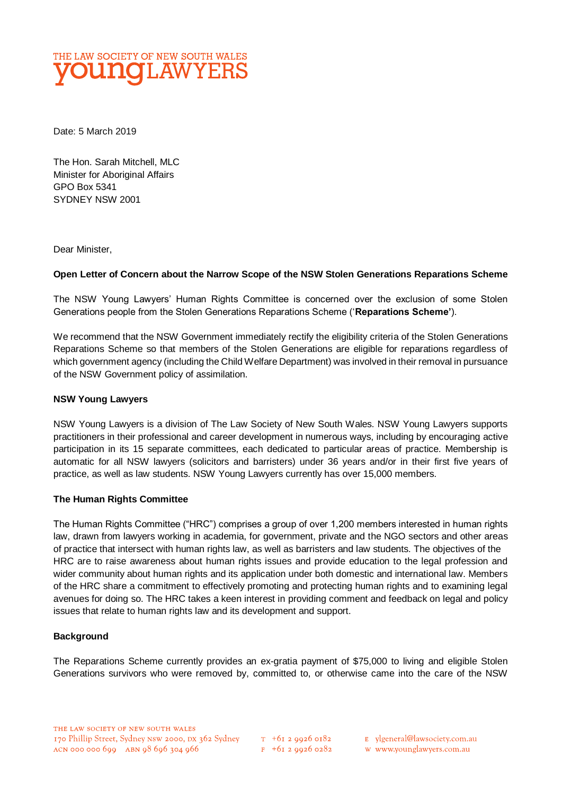

Date: 5 March 2019

The Hon. Sarah Mitchell, MLC Minister for Aboriginal Affairs GPO Box 5341 SYDNEY NSW 2001

Dear Minister,

### **Open Letter of Concern about the Narrow Scope of the NSW Stolen Generations Reparations Scheme**

The NSW Young Lawyers' Human Rights Committee is concerned over the exclusion of some Stolen Generations people from the Stolen Generations Reparations Scheme ('**Reparations Scheme'**).

We recommend that the NSW Government immediately rectify the eligibility criteria of the Stolen Generations Reparations Scheme so that members of the Stolen Generations are eligible for reparations regardless of which government agency (including the Child Welfare Department) was involved in their removal in pursuance of the NSW Government policy of assimilation.

#### **NSW Young Lawyers**

NSW Young Lawyers is a division of The Law Society of New South Wales. NSW Young Lawyers supports practitioners in their professional and career development in numerous ways, including by encouraging active participation in its 15 separate committees, each dedicated to particular areas of practice. Membership is automatic for all NSW lawyers (solicitors and barristers) under 36 years and/or in their first five years of practice, as well as law students. NSW Young Lawyers currently has over 15,000 members.

### **The Human Rights Committee**

The Human Rights Committee ("HRC") comprises a group of over 1,200 members interested in human rights law, drawn from lawyers working in academia, for government, private and the NGO sectors and other areas of practice that intersect with human rights law, as well as barristers and law students. The objectives of the HRC are to raise awareness about human rights issues and provide education to the legal profession and wider community about human rights and its application under both domestic and international law. Members of the HRC share a commitment to effectively promoting and protecting human rights and to examining legal avenues for doing so. The HRC takes a keen interest in providing comment and feedback on legal and policy issues that relate to human rights law and its development and support.

#### **Background**

The Reparations Scheme currently provides an ex-gratia payment of \$75,000 to living and eligible Stolen Generations survivors who were removed by, committed to, or otherwise came into the care of the NSW

 $T_{+61}$  2 9926 0182  $F + 6I$  2 9926 0282 E ylgeneral@lawsociety.com.au

w www.younglawyers.com.au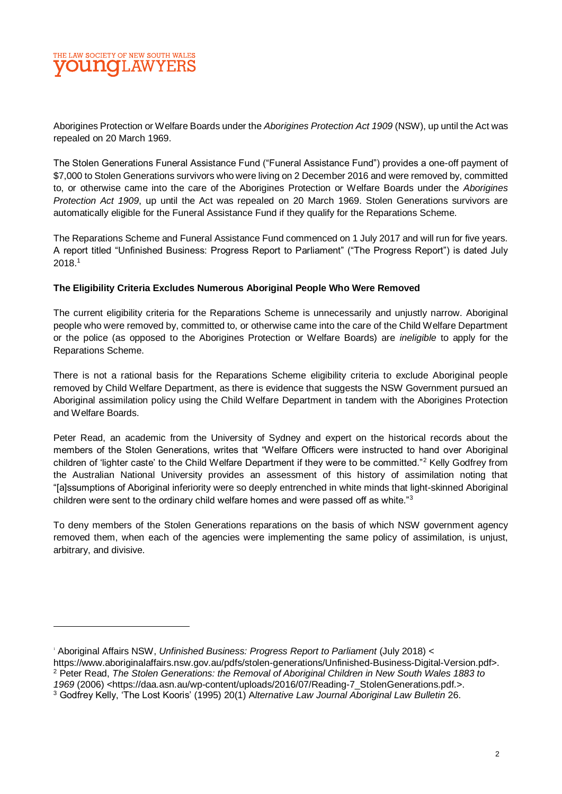# THE LAW SOCIETY OF NEW SOUTH WALES 1.AW

Aborigines Protection or Welfare Boards under the *Aborigines Protection Act 1909* (NSW), up until the Act was repealed on 20 March 1969.

The Stolen Generations Funeral Assistance Fund ("Funeral Assistance Fund") provides a one-off payment of \$7,000 to Stolen Generations survivors who were living on 2 December 2016 and were removed by, committed to, or otherwise came into the care of the Aborigines Protection or Welfare Boards under the *Aborigines Protection Act 1909*, up until the Act was repealed on 20 March 1969. Stolen Generations survivors are automatically eligible for the Funeral Assistance Fund if they qualify for the Reparations Scheme.

The Reparations Scheme and Funeral Assistance Fund commenced on 1 July 2017 and will run for five years. A report titled "Unfinished Business: Progress Report to Parliament" ("The Progress Report") is dated July 2018.<sup>1</sup>

### **The Eligibility Criteria Excludes Numerous Aboriginal People Who Were Removed**

The current eligibility criteria for the Reparations Scheme is unnecessarily and unjustly narrow. Aboriginal people who were removed by, committed to, or otherwise came into the care of the Child Welfare Department or the police (as opposed to the Aborigines Protection or Welfare Boards) are *ineligible* to apply for the Reparations Scheme.

There is not a rational basis for the Reparations Scheme eligibility criteria to exclude Aboriginal people removed by Child Welfare Department, as there is evidence that suggests the NSW Government pursued an Aboriginal assimilation policy using the Child Welfare Department in tandem with the Aborigines Protection and Welfare Boards.

Peter Read, an academic from the University of Sydney and expert on the historical records about the members of the Stolen Generations, writes that "Welfare Officers were instructed to hand over Aboriginal children of 'lighter caste' to the Child Welfare Department if they were to be committed."<sup>2</sup> Kelly Godfrey from the Australian National University provides an assessment of this history of assimilation noting that "[a]ssumptions of Aboriginal inferiority were so deeply entrenched in white minds that light-skinned Aboriginal children were sent to the ordinary child welfare homes and were passed off as white."<sup>3</sup>

To deny members of the Stolen Generations reparations on the basis of which NSW government agency removed them, when each of the agencies were implementing the same policy of assimilation, is unjust, arbitrary, and divisive.

<sup>1</sup> Aboriginal Affairs NSW, *Unfinished Business: Progress Report to Parliament* (July 2018) <

https://www.aboriginalaffairs.nsw.gov.au/pdfs/stolen-generations/Unfinished-Business-Digital-Version.pdf>.

<sup>2</sup> Peter Read, *The Stolen Generations: the Removal of Aboriginal Children in New South Wales 1883 to 1969* (2006) <https://daa.asn.au/wp-content/uploads/2016/07/Reading-7\_StolenGenerations.pdf.>.

<sup>3</sup> Godfrey Kelly, 'The Lost Kooris' (1995) 20(1) A*lternative Law Journal Aboriginal Law Bulletin* 26.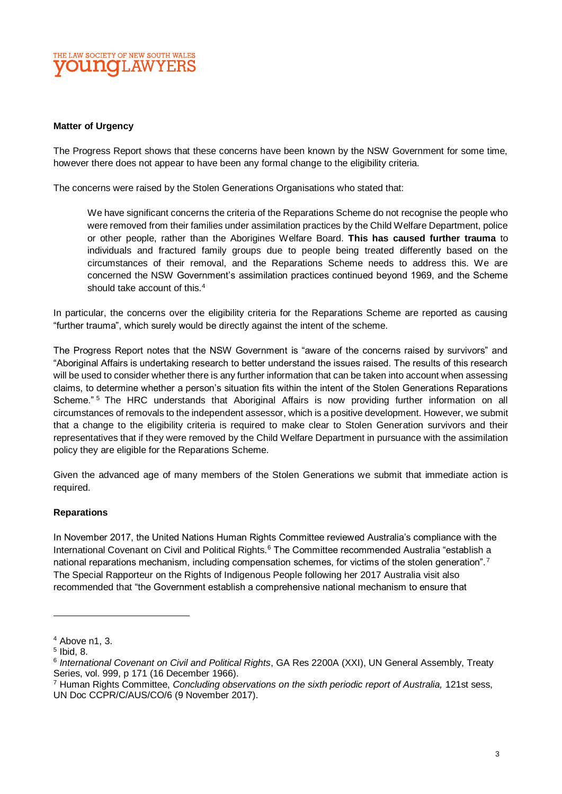### THE LAW SOCIETY OF NEW SOUTH WALES 1.AW

#### **Matter of Urgency**

The Progress Report shows that these concerns have been known by the NSW Government for some time, however there does not appear to have been any formal change to the eligibility criteria.

The concerns were raised by the Stolen Generations Organisations who stated that:

We have significant concerns the criteria of the Reparations Scheme do not recognise the people who were removed from their families under assimilation practices by the Child Welfare Department, police or other people, rather than the Aborigines Welfare Board. **This has caused further trauma** to individuals and fractured family groups due to people being treated differently based on the circumstances of their removal, and the Reparations Scheme needs to address this. We are concerned the NSW Government's assimilation practices continued beyond 1969, and the Scheme should take account of this.<sup>4</sup>

In particular, the concerns over the eligibility criteria for the Reparations Scheme are reported as causing "further trauma", which surely would be directly against the intent of the scheme.

The Progress Report notes that the NSW Government is "aware of the concerns raised by survivors" and "Aboriginal Affairs is undertaking research to better understand the issues raised. The results of this research will be used to consider whether there is any further information that can be taken into account when assessing claims, to determine whether a person's situation fits within the intent of the Stolen Generations Reparations Scheme."<sup>5</sup> The HRC understands that Aboriginal Affairs is now providing further information on all circumstances of removals to the independent assessor, which is a positive development. However, we submit that a change to the eligibility criteria is required to make clear to Stolen Generation survivors and their representatives that if they were removed by the Child Welfare Department in pursuance with the assimilation policy they are eligible for the Reparations Scheme.

Given the advanced age of many members of the Stolen Generations we submit that immediate action is required.

### **Reparations**

In November 2017, the United Nations Human Rights Committee reviewed Australia's compliance with the International Covenant on Civil and Political Rights.<sup>6</sup> The Committee recommended Australia "establish a national reparations mechanism, including compensation schemes, for victims of the stolen generation".<sup>7</sup> The Special Rapporteur on the Rights of Indigenous People following her 2017 Australia visit also recommended that "the Government establish a comprehensive national mechanism to ensure that

 $\overline{a}$ 

 $4$  Above n1, 3.

<sup>5</sup> Ibid, 8.

<sup>6</sup> *International Covenant on Civil and Political Rights*, GA Res 2200A (XXI), UN General Assembly, Treaty Series, vol. 999, p 171 (16 December 1966).

<sup>7</sup> Human Rights Committee, *Concluding observations on the sixth periodic report of Australia,* 121st sess, UN Doc CCPR/C/AUS/CO/6 (9 November 2017).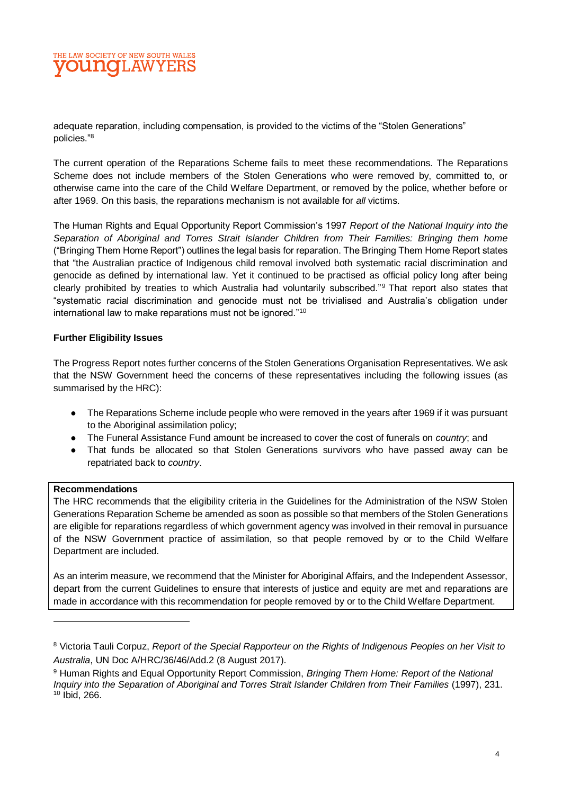# THE LAW SOCIETY OF NEW SOUTH WALES **TI.AW**

adequate reparation, including compensation, is provided to the victims of the "Stolen Generations" policies."<sup>8</sup>

The current operation of the Reparations Scheme fails to meet these recommendations. The Reparations Scheme does not include members of the Stolen Generations who were removed by, committed to, or otherwise came into the care of the Child Welfare Department, or removed by the police, whether before or after 1969. On this basis, the reparations mechanism is not available for *all* victims.

The Human Rights and Equal Opportunity Report Commission's 1997 *Report of the National Inquiry into the Separation of Aboriginal and Torres Strait Islander Children from Their Families: Bringing them home*  ("Bringing Them Home Report") outlines the legal basis for reparation. The Bringing Them Home Report states that "the Australian practice of Indigenous child removal involved both systematic racial discrimination and genocide as defined by international law. Yet it continued to be practised as official policy long after being clearly prohibited by treaties to which Australia had voluntarily subscribed."<sup>9</sup> That report also states that "systematic racial discrimination and genocide must not be trivialised and Australia's obligation under international law to make reparations must not be ignored."<sup>10</sup>

### **Further Eligibility Issues**

The Progress Report notes further concerns of the Stolen Generations Organisation Representatives. We ask that the NSW Government heed the concerns of these representatives including the following issues (as summarised by the HRC):

- The Reparations Scheme include people who were removed in the years after 1969 if it was pursuant to the Aboriginal assimilation policy;
- The Funeral Assistance Fund amount be increased to cover the cost of funerals on *country*; and
- That funds be allocated so that Stolen Generations survivors who have passed away can be repatriated back to *country*.

### **Recommendations**

The HRC recommends that the eligibility criteria in the Guidelines for the Administration of the NSW Stolen Generations Reparation Scheme be amended as soon as possible so that members of the Stolen Generations are eligible for reparations regardless of which government agency was involved in their removal in pursuance of the NSW Government practice of assimilation, so that people removed by or to the Child Welfare Department are included.

As an interim measure, we recommend that the Minister for Aboriginal Affairs, and the Independent Assessor, depart from the current Guidelines to ensure that interests of justice and equity are met and reparations are made in accordance with this recommendation for people removed by or to the Child Welfare Department.

<sup>8</sup> Victoria Tauli Corpuz, *Report of the Special Rapporteur on the Rights of Indigenous Peoples on her Visit to Australia*, UN Doc A/HRC/36/46/Add.2 (8 August 2017).

<sup>9</sup> Human Rights and Equal Opportunity Report Commission, *Bringing Them Home: Report of the National Inquiry into the Separation of Aboriginal and Torres Strait Islander Children from Their Families* (1997), 231. <sup>10</sup> Ibid, 266.